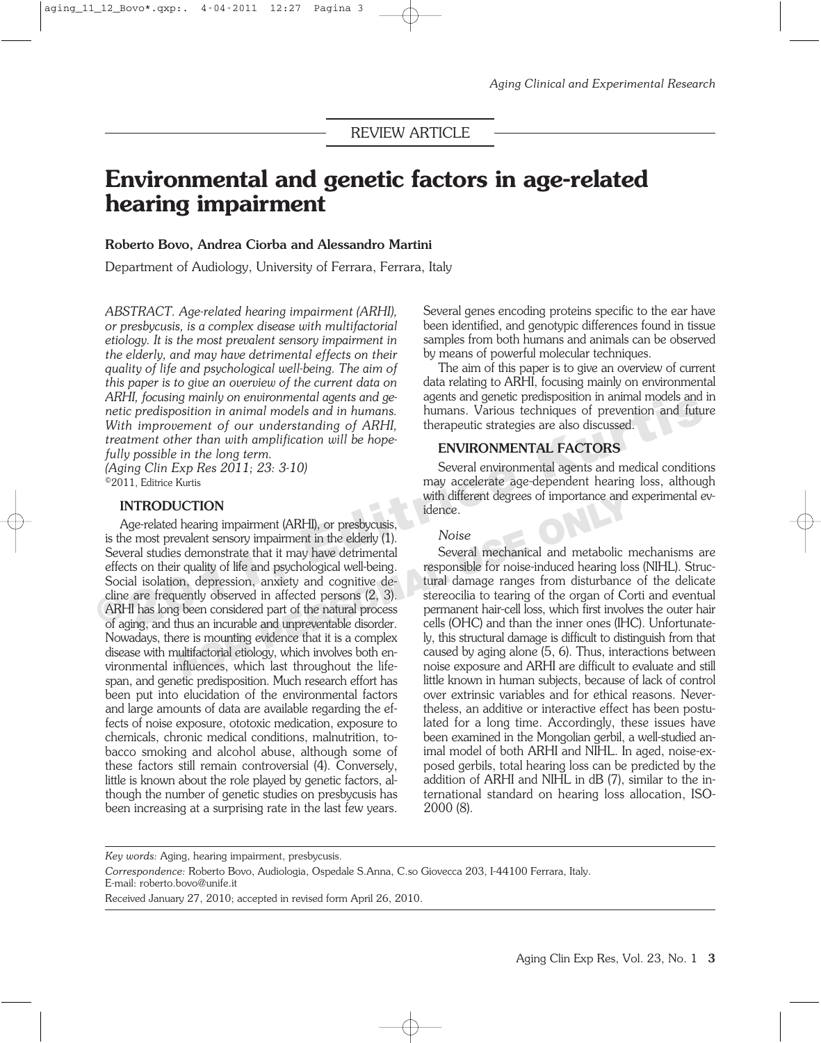# **Environmental and genetic factors in age-related hearing impairment**

#### **Roberto Bovo, Andrea Ciorba and Alessandro Martini**

Department of Audiology, University of Ferrara, Ferrara, Italy

*ABSTRACT. Age-related hearing impairment (ARHI), or presbycusis, is a complex disease with multifactorial etiology. It is the most prevalent sensory impairment in the elderly, and may have detrimental effects on their quality of life and psychological well-being. The aim of this paper is to give an overview of the current data on ARHI, focusing mainly on environmental agents and genetic predisposition in animal models and in humans. With improvement of our understanding of ARHI, treatment other than with amplification will be hopefully possible in the long term.*

*(Aging Clin Exp Res 2011; 23: 3-10)* ©2011, Editrice Kurtis

#### **INTRODUCTION**

Age-related hearing impairment (ARHI), or presbycusis, is the most prevalent sensory impairment in the elderly (1). Several studies demonstrate that it may have detrimental effects on their quality of life and psychological well-being. Social isolation, depression, anxiety and cognitive decline are frequently observed in affected persons (2, 3). ARHI has long been considered part of the natural process of aging, and thus an incurable and unpreventable disorder. Nowadays, there is mounting evidence that it is a complex disease with multifactorial etiology, which involves both environmental influences, which last throughout the lifespan, and genetic predisposition. Much research effort has been put into elucidation of the environmental factors and large amounts of data are available regarding the effects of noise exposure, ototoxic medication, exposure to chemicals, chronic medical conditions, malnutrition, tobacco smoking and alcohol abuse, although some of these factors still remain controversial (4). Conversely, little is known about the role played by genetic factors, although the number of genetic studies on presbycusis has been increasing at a surprising rate in the last few years. Find the potation in animal models and in humans. Surface present present present present process and the metric predisposition in animal models and in humans. The metric strategies of prevention and future With improvemen **Formularity** is the degrees of myortance and idence.<br> **FORP EXECUTION EXECUTE:** The electric map has the electric method is demonstrate that it may have detrimental Several mechanical and metabolic r quality of life a

Several genes encoding proteins specific to the ear have been identified, and genotypic differences found in tissue samples from both humans and animals can be observed by means of powerful molecular techniques.

The aim of this paper is to give an overview of current data relating to ARHI, focusing mainly on environmental agents and genetic predisposition in animal models and in humans. Various techniques of prevention and future therapeutic strategies are also discussed.

#### **ENVIRONMENTAL FACTORS**

Several environmental agents and medical conditions may accelerate age-dependent hearing loss, although with different degrees of importance and experimental evidence.

#### *Noise*

Several mechanical and metabolic mechanisms are responsible for noise-induced hearing loss (NIHL). Structural damage ranges from disturbance of the delicate stereocilia to tearing of the organ of Corti and eventual permanent hair-cell loss, which first involves the outer hair cells (OHC) and than the inner ones (IHC). Unfortunately, this structural damage is difficult to distinguish from that caused by aging alone (5, 6). Thus, interactions between noise exposure and ARHI are difficult to evaluate and still little known in human subjects, because of lack of control over extrinsic variables and for ethical reasons. Nevertheless, an additive or interactive effect has been postulated for a long time. Accordingly, these issues have been examined in the Mongolian gerbil, a well-studied animal model of both ARHI and NIHL. In aged, noise-exposed gerbils, total hearing loss can be predicted by the addition of ARHI and NIHL in dB (7), similar to the international standard on hearing loss allocation, ISO-2000 (8).

*Key words:* Aging, hearing impairment, presbycusis.

*Correspondence:* Roberto Bovo, Audiologia, Ospedale S.Anna, C.so Giovecca 203, I-44100 Ferrara, Italy.

E-mail: roberto.bovo@unife.it

Received January 27, 2010; accepted in revised form April 26, 2010.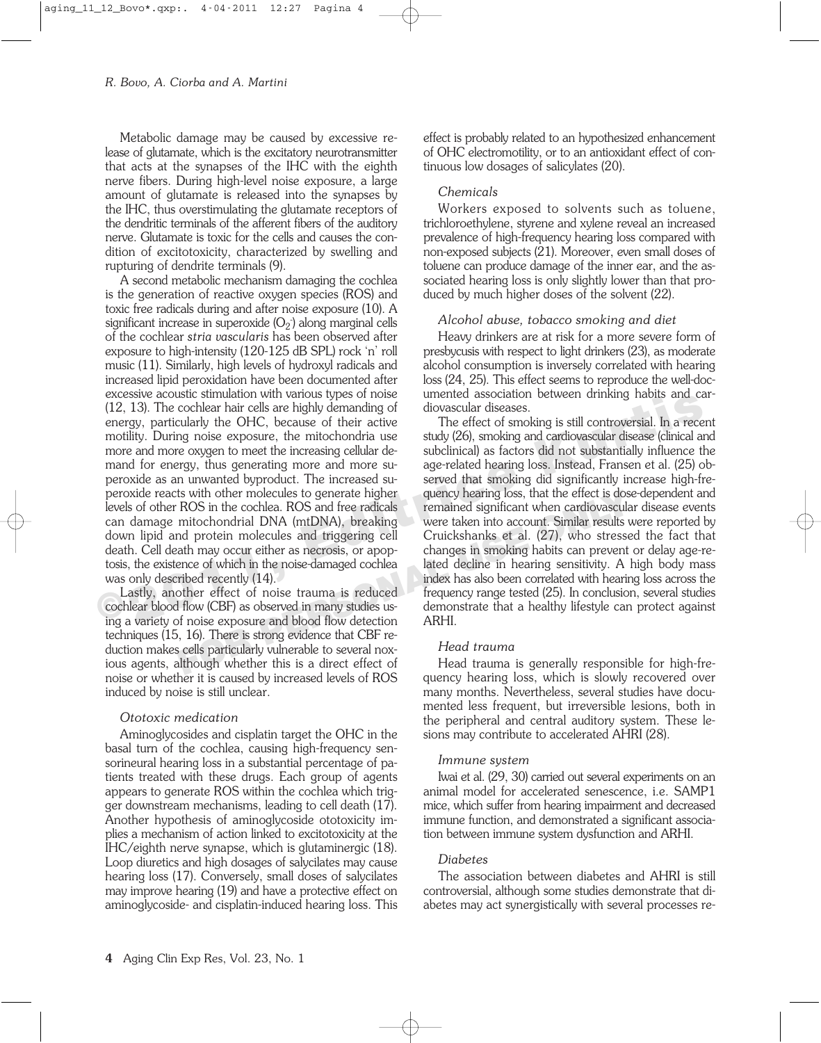Metabolic damage may be caused by excessive release of glutamate, which is the excitatory neurotransmitter that acts at the synapses of the IHC with the eighth nerve fibers. During high-level noise exposure, a large amount of glutamate is released into the synapses by the IHC, thus overstimulating the glutamate receptors of the dendritic terminals of the afferent fibers of the auditory nerve. Glutamate is toxic for the cells and causes the condition of excitotoxicity, characterized by swelling and rupturing of dendrite terminals (9).

A second metabolic mechanism damaging the cochlea is the generation of reactive oxygen species (ROS) and toxic free radicals during and after noise exposure (10). A significant increase in superoxide  $(O_2)$  along marginal cells of the cochlear *stria vascularis* has been observed after exposure to high-intensity (120-125 dB SPL) rock 'n' roll music (11). Similarly, high levels of hydroxyl radicals and increased lipid peroxidation have been documented after excessive acoustic stimulation with various types of noise (12, 13). The cochlear hair cells are highly demanding of energy, particularly the OHC, because of their active motility. During noise exposure, the mitochondria use more and more oxygen to meet the increasing cellular demand for energy, thus generating more and more superoxide as an unwanted byproduct. The increased superoxide reacts with other molecules to generate higher levels of other ROS in the cochlea. ROS and free radicals can damage mitochondrial DNA (mtDNA), breaking down lipid and protein molecules and triggering cell death. Cell death may occur either as necrosis, or apoptosis, the existence of which in the noise-damaged cochlea was only described recently (14).

Lastly, another effect of noise trauma is reduced cochlear blood flow (CBF) as observed in many studies using a variety of noise exposure and blood flow detection techniques (15, 16). There is strong evidence that CBF reduction makes cells particularly vulnerable to several noxious agents, although whether this is a direct effect of noise or whether it is caused by increased levels of ROS induced by noise is still unclear.

# *Ototoxic medication*

Aminoglycosides and cisplatin target the OHC in the basal turn of the cochlea, causing high-frequency sensorineural hearing loss in a substantial percentage of patients treated with these drugs. Each group of agents appears to generate ROS within the cochlea which trigger downstream mechanisms, leading to cell death (17). Another hypothesis of aminoglycoside ototoxicity implies a mechanism of action linked to excitotoxicity at the IHC/eighth nerve synapse, which is glutaminergic (18). Loop diuretics and high dosages of salycilates may cause hearing loss (17). Conversely, small doses of salycilates may improve hearing (19) and have a protective effect on aminoglycoside- and cisplatin-induced hearing loss. This effect is probably related to an hypothesized enhancement of OHC electromotility, or to an antioxidant effect of continuous low dosages of salicylates (20).

# *Chemicals*

Workers exposed to solvents such as toluene, trichloroethylene, styrene and xylene reveal an increased prevalence of high-frequency hearing loss compared with non-exposed subjects (21). Moreover, even small doses of toluene can produce damage of the inner ear, and the associated hearing loss is only slightly lower than that produced by much higher doses of the solvent (22).

# *Alcohol abuse, tobacco smoking and diet*

Heavy drinkers are at risk for a more severe form of presbycusis with respect to light drinkers (23), as moderate alcohol consumption is inversely correlated with hearing loss (24, 25). This effect seems to reproduce the well-documented association between drinking habits and cardiovascular diseases.

The effect of smoking is still controversial. In a recent study (26), smoking and cardiovascular disease (clinical and subclinical) as factors did not substantially influence the age-related hearing loss. Instead, Fransen et al. (25) observed that smoking did significantly increase high-frequency hearing loss, that the effect is dose-dependent and remained significant when cardiovascular disease events were taken into account. Similar results were reported by Cruickshanks et al. (27), who stressed the fact that changes in smoking habits can prevent or delay age-related decline in hearing sensitivity. A high body mass index has also been correlated with hearing loss across the frequency range tested (25). In conclusion, several studies demonstrate that a healthy lifestyle can protect against ARHI. Excessive acousta summation will various by esse of their the minimal summation will consider the collear hair cells are highly demanding of diovascular disease.<br>
energy, particularly the OHC, because of their active the f In the molecules to generate higher quency hearing loss, that the effect is dos<br>
ROS in the cochlea. ROS and free radicals<br>
mitochondrial DNA (mtDNA), breaking were taken into account. Similar results were the molecules an

# *Head trauma*

Head trauma is generally responsible for high-frequency hearing loss, which is slowly recovered over many months. Nevertheless, several studies have documented less frequent, but irreversible lesions, both in the peripheral and central auditory system. These lesions may contribute to accelerated AHRI (28).

# *Immune system*

Iwai et al. (29, 30) carried out several experiments on an animal model for accelerated senescence, i.e. SAMP1 mice, which suffer from hearing impairment and decreased immune function, and demonstrated a significant association between immune system dysfunction and ARHI.

# *Diabetes*

The association between diabetes and AHRI is still controversial, although some studies demonstrate that diabetes may act synergistically with several processes re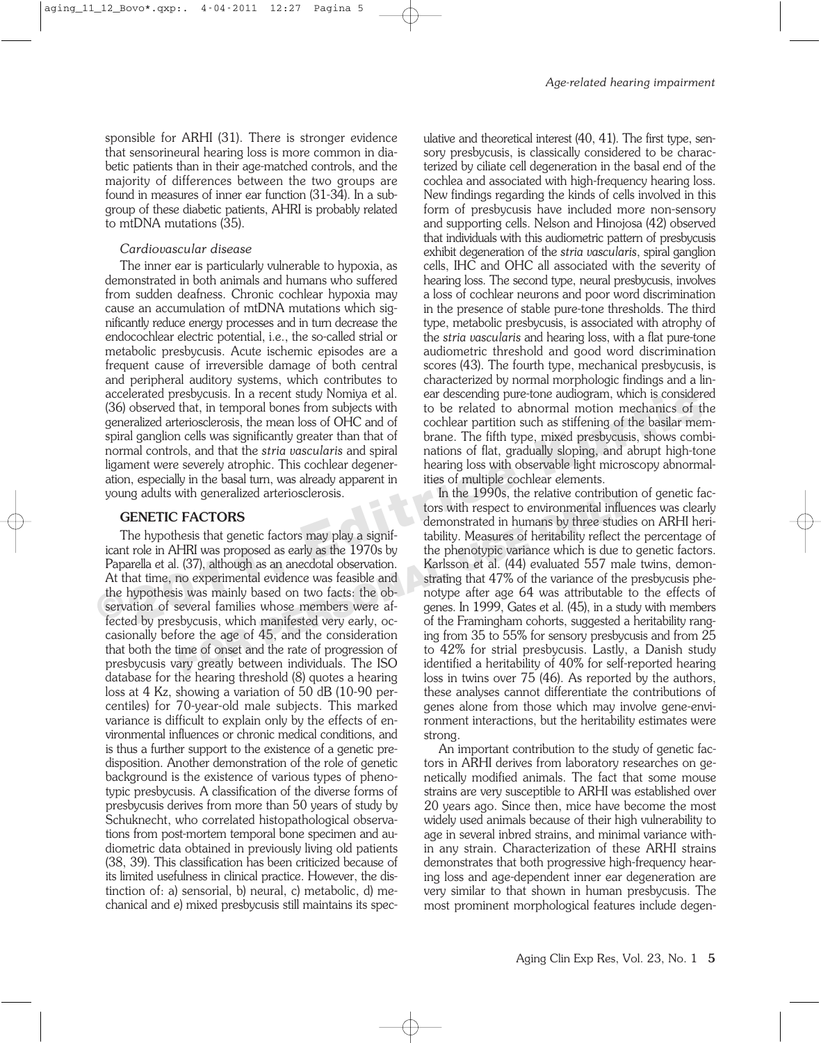sponsible for ARHI (31). There is stronger evidence that sensorineural hearing loss is more common in diabetic patients than in their age-matched controls, and the majority of differences between the two groups are found in measures of inner ear function (31-34). In a subgroup of these diabetic patients, AHRI is probably related to mtDNA mutations (35).

#### *Cardiovascular disease*

The inner ear is particularly vulnerable to hypoxia, as demonstrated in both animals and humans who suffered from sudden deafness. Chronic cochlear hypoxia may cause an accumulation of mtDNA mutations which significantly reduce energy processes and in turn decrease the endocochlear electric potential, i.e., the so-called strial or metabolic presbycusis. Acute ischemic episodes are a frequent cause of irreversible damage of both central and peripheral auditory systems, which contributes to accelerated presbycusis. In a recent study Nomiya et al. (36) observed that, in temporal bones from subjects with generalized arteriosclerosis, the mean loss of OHC and of spiral ganglion cells was significantly greater than that of normal controls, and that the *stria vascularis* and spiral ligament were severely atrophic. This cochlear degeneration, especially in the basal turn, was already apparent in young adults with generalized arteriosclerosis.

#### **GENETIC FACTORS**

The hypothesis that genetic factors may play a significant role in AHRI was proposed as early as the 1970s by Paparella et al. (37), although as an anecdotal observation. At that time, no experimental evidence was feasible and the hypothesis was mainly based on two facts: the observation of several families whose members were affected by presbycusis, which manifested very early, occasionally before the age of 45, and the consideration that both the time of onset and the rate of progression of presbycusis vary greatly between individuals. The ISO database for the hearing threshold (8) quotes a hearing loss at 4 Kz, showing a variation of 50 dB (10-90 percentiles) for 70-year-old male subjects. This marked variance is difficult to explain only by the effects of environmental influences or chronic medical conditions, and is thus a further support to the existence of a genetic predisposition. Another demonstration of the role of genetic background is the existence of various types of phenotypic presbycusis. A classification of the diverse forms of presbycusis derives from more than 50 years of study by Schuknecht, who correlated histopathological observations from post-mortem temporal bone specimen and audiometric data obtained in previously living old patients (38, 39). This classification has been criticized because of its limited usefulness in clinical practice. However, the distinction of: a) sensorial, b) neural, c) metabolic, d) mechanical and e) mixed presbycusis still maintains its speculative and theoretical interest (40, 41). The first type, sensory presbycusis, is classically considered to be characterized by ciliate cell degeneration in the basal end of the cochlea and associated with high-frequency hearing loss. New findings regarding the kinds of cells involved in this form of presbycusis have included more non-sensory and supporting cells. Nelson and Hinojosa (42) observed that individuals with this audiometric pattern of presbycusis exhibit degeneration of the *stria vascularis*, spiral ganglion cells, IHC and OHC all associated with the severity of hearing loss. The second type, neural presbycusis, involves a loss of cochlear neurons and poor word discrimination in the presence of stable pure-tone thresholds. The third type, metabolic presbycusis, is associated with atrophy of the *stria vascularis* and hearing loss, with a flat pure-tone audiometric threshold and good word discrimination scores (43). The fourth type, mechanical presbycusis, is characterized by normal morphologic findings and a linear descending pure-tone audiogram, which is considered to be related to abnormal motion mechanics of the cochlear partition such as stiffening of the basilar membrane. The fifth type, mixed presbycusis, shows combinations of flat, gradually sloping, and abrupt high-tone hearing loss with observable light microscopy abnormalities of multiple cochlear elements.

In the 1990s, the relative contribution of genetic factors with respect to environmental influences was clearly demonstrated in humans by three studies on ARHI heritability. Measures of heritability reflect the percentage of the phenotypic variance which is due to genetic factors. Karlsson et al. (44) evaluated 557 male twins, demonstrating that 47% of the variance of the presbycusis phenotype after age 64 was attributable to the effects of genes. In 1999, Gates et al. (45), in a study with members of the Framingham cohorts, suggested a heritability ranging from 35 to 55% for sensory presbycusis and from 25 to 42% for strial presbycusis. Lastly, a Danish study identified a heritability of 40% for self-reported hearing loss in twins over 75 (46). As reported by the authors, these analyses cannot differentiate the contributions of genes alone from those which may involve gene-environment interactions, but the heritability estimates were strong. **Example to the set of the set of the set of the set of the set of the set of the set of the set of the set of the set of the set of the set of the beat of the set of the beat of the set of the set of the beat of the set o** with generalized artenosclerosis.<br> **FACTORS**<br> **ERCTORS**<br> **ERCTORS**<br> **ERCTORS**<br> **FACTORS**<br> **ERCTORS**<br> **PERI** was proposed as early as tignif-<br> **PERI** was proposed as early as the 1970s by<br> **PERI** We perfect the contribuitit

> An important contribution to the study of genetic factors in ARHI derives from laboratory researches on genetically modified animals. The fact that some mouse strains are very susceptible to ARHI was established over 20 years ago. Since then, mice have become the most widely used animals because of their high vulnerability to age in several inbred strains, and minimal variance within any strain. Characterization of these ARHI strains demonstrates that both progressive high-frequency hearing loss and age-dependent inner ear degeneration are very similar to that shown in human presbycusis. The most prominent morphological features include degen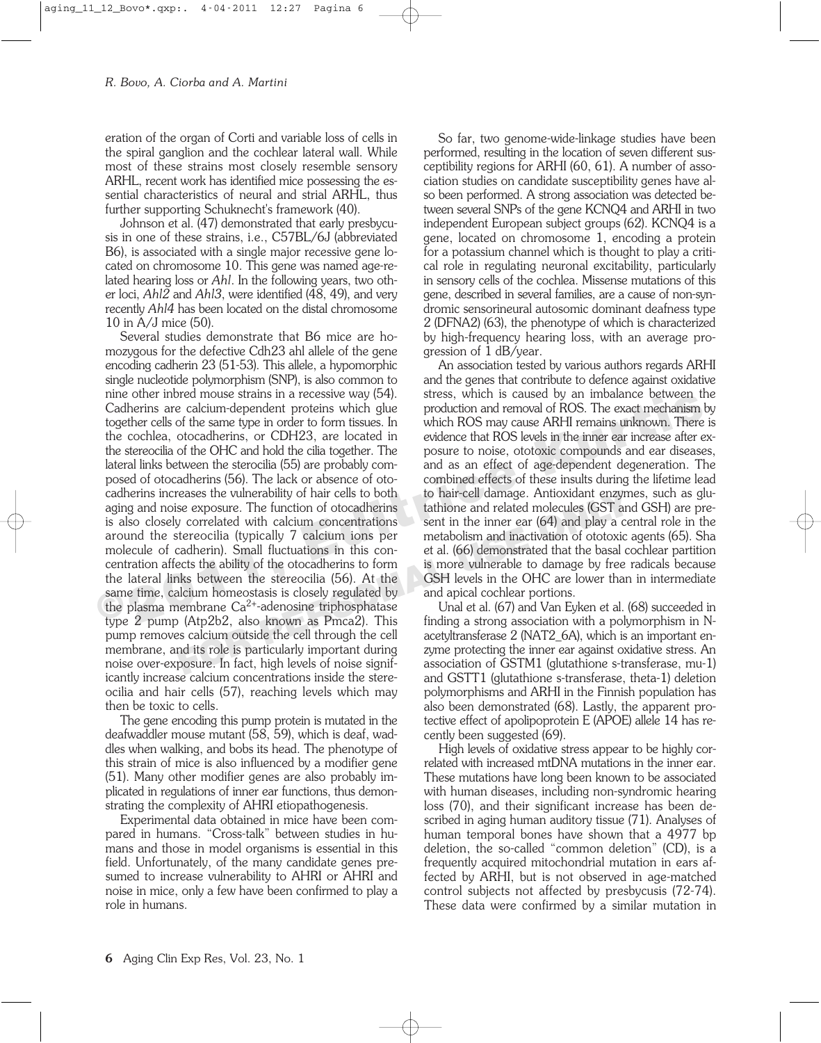eration of the organ of Corti and variable loss of cells in the spiral ganglion and the cochlear lateral wall. While most of these strains most closely resemble sensory ARHL, recent work has identified mice possessing the essential characteristics of neural and strial ARHL, thus further supporting Schuknecht's framework (40).

Johnson et al. (47) demonstrated that early presbycusis in one of these strains, i.e., C57BL/6J (abbreviated B6), is associated with a single major recessive gene located on chromosome 10. This gene was named age-related hearing loss or *Ahl*. In the following years, two other loci, *Ahl2* and *Ahl3*, were identified (48, 49), and very recently *Ahl4* has been located on the distal chromosome 10 in A/J mice (50).

Several studies demonstrate that B6 mice are homozygous for the defective Cdh23 ahl allele of the gene encoding cadherin 23 (51-53). This allele, a hypomorphic single nucleotide polymorphism (SNP), is also common to nine other inbred mouse strains in a recessive way (54). Cadherins are calcium-dependent proteins which glue together cells of the same type in order to form tissues. In the cochlea, otocadherins, or CDH23, are located in the stereocilia of the OHC and hold the cilia together. The lateral links between the sterocilia (55) are probably composed of otocadherins (56). The lack or absence of otocadherins increases the vulnerability of hair cells to both aging and noise exposure. The function of otocadherins is also closely correlated with calcium concentrations around the stereocilia (typically 7 calcium ions per molecule of cadherin). Small fluctuations in this concentration affects the ability of the otocadherins to form the lateral links between the stereocilia (56). At the same time, calcium homeostasis is closely regulated by the plasma membrane  $Ca^{2+}$ -adenosine triphosphatase type 2 pump (Atp2b2, also known as Pmca2). This pump removes calcium outside the cell through the cell membrane, and its role is particularly important during noise over-exposure. In fact, high levels of noise significantly increase calcium concentrations inside the stereocilia and hair cells (57), reaching levels which may then be toxic to cells. In excels the university and in a cluster of the steading in a cluster of the cocher interval to continue of contenting to the same type in order to form tissues. In which ROS may cause ARHI remains unknown. There the ochl FERRIC SET AT A THE SET AT A THE SET ALL SET A THE SET A THE SET A THE SET A THE SET A THE SET A THE SET A THE SET A THE SET A THE SET A THE SET A THE SET A THE SET A THE SET A THE SET A THE SET A THE SET A THE SET A THE

The gene encoding this pump protein is mutated in the deafwaddler mouse mutant (58, 59), which is deaf, waddles when walking, and bobs its head. The phenotype of this strain of mice is also influenced by a modifier gene (51). Many other modifier genes are also probably implicated in regulations of inner ear functions, thus demonstrating the complexity of AHRI etiopathogenesis.

Experimental data obtained in mice have been compared in humans. "Cross-talk" between studies in humans and those in model organisms is essential in this field. Unfortunately, of the many candidate genes presumed to increase vulnerability to AHRI or AHRI and noise in mice, only a few have been confirmed to play a role in humans.

So far, two genome-wide-linkage studies have been performed, resulting in the location of seven different susceptibility regions for ARHI (60, 61). A number of association studies on candidate susceptibility genes have also been performed. A strong association was detected between several SNPs of the gene KCNQ4 and ARHI in two independent European subject groups (62). KCNQ4 is a gene, located on chromosome 1, encoding a protein for a potassium channel which is thought to play a critical role in regulating neuronal excitability, particularly in sensory cells of the cochlea. Missense mutations of this gene, described in several families, are a cause of non-syndromic sensorineural autosomic dominant deafness type 2 (DFNA2) (63), the phenotype of which is characterized by high-frequency hearing loss, with an average progression of 1 dB/year.

An association tested by various authors regards ARHI and the genes that contribute to defence against oxidative stress, which is caused by an imbalance between the production and removal of ROS. The exact mechanism by which ROS may cause ARHI remains unknown. There is evidence that ROS levels in the inner ear increase after exposure to noise, ototoxic compounds and ear diseases, and as an effect of age-dependent degeneration. The combined effects of these insults during the lifetime lead to hair-cell damage. Antioxidant enzymes, such as glutathione and related molecules (GST and GSH) are present in the inner ear (64) and play a central role in the metabolism and inactivation of ototoxic agents (65). Sha et al. (66) demonstrated that the basal cochlear partition is more vulnerable to damage by free radicals because GSH levels in the OHC are lower than in intermediate and apical cochlear portions.

Unal et al. (67) and Van Eyken et al. (68) succeeded in finding a strong association with a polymorphism in Nacetyltransferase 2 (NAT2\_6A), which is an important enzyme protecting the inner ear against oxidative stress. An association of GSTM1 (glutathione s-transferase, mu-1) and GSTT1 (glutathione s-transferase, theta-1) deletion polymorphisms and ARHI in the Finnish population has also been demonstrated (68). Lastly, the apparent protective effect of apolipoprotein E (APOE) allele 14 has recently been suggested (69).

High levels of oxidative stress appear to be highly correlated with increased mtDNA mutations in the inner ear. These mutations have long been known to be associated with human diseases, including non-syndromic hearing loss (70), and their significant increase has been described in aging human auditory tissue (71). Analyses of human temporal bones have shown that a 4977 bp deletion, the so-called "common deletion" (CD), is a frequently acquired mitochondrial mutation in ears affected by ARHI, but is not observed in age-matched control subjects not affected by presbycusis (72-74). These data were confirmed by a similar mutation in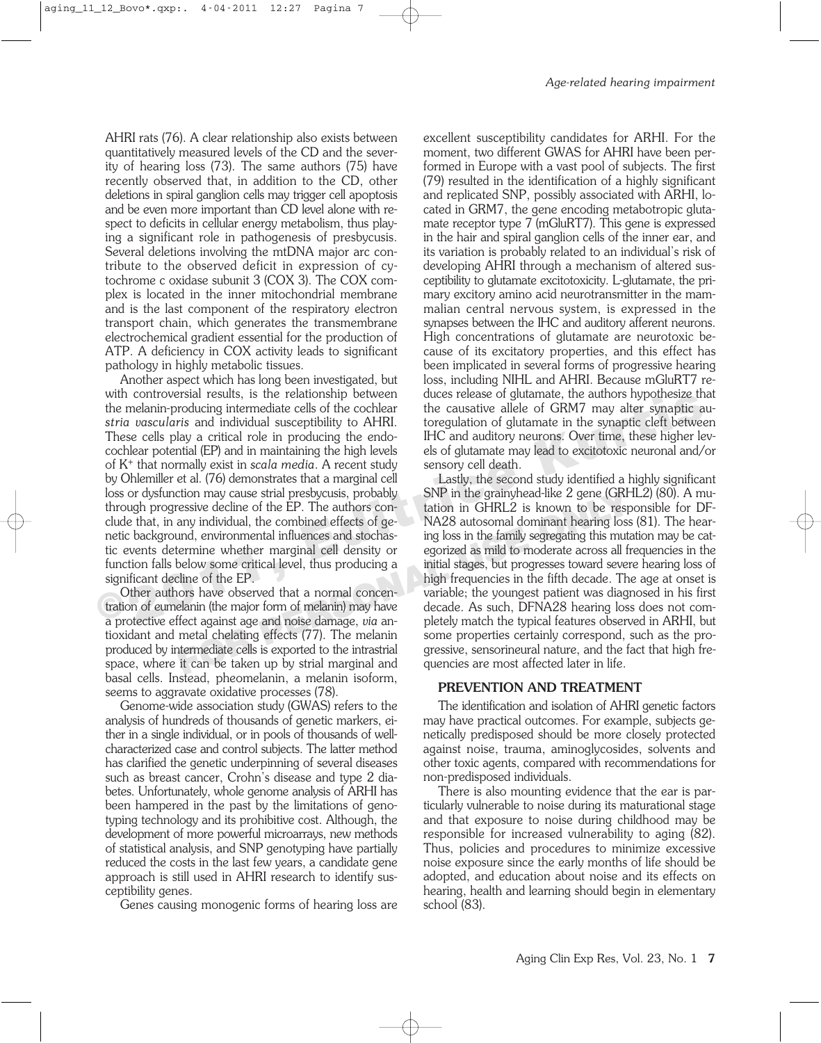AHRI rats (76). A clear relationship also exists between quantitatively measured levels of the CD and the severity of hearing loss (73). The same authors (75) have recently observed that, in addition to the CD, other deletions in spiral ganglion cells may trigger cell apoptosis and be even more important than CD level alone with respect to deficits in cellular energy metabolism, thus playing a significant role in pathogenesis of presbycusis. Several deletions involving the mtDNA major arc contribute to the observed deficit in expression of cytochrome c oxidase subunit 3 (COX 3). The COX complex is located in the inner mitochondrial membrane and is the last component of the respiratory electron transport chain, which generates the transmembrane electrochemical gradient essential for the production of ATP. A deficiency in COX activity leads to significant pathology in highly metabolic tissues.

Another aspect which has long been investigated, but with controversial results, is the relationship between the melanin-producing intermediate cells of the cochlear *stria vascularis* and individual susceptibility to AHRI. These cells play a critical role in producing the endocochlear potential (EP) and in maintaining the high levels of K+ that normally exist in *scala media*. A recent study by Ohlemiller et al. (76) demonstrates that a marginal cell loss or dysfunction may cause strial presbycusis, probably through progressive decline of the EP. The authors conclude that, in any individual, the combined effects of genetic background, environmental influences and stochastic events determine whether marginal cell density or function falls below some critical level, thus producing a significant decline of the EP. From controversinal resume the main of the control of the column control and interaction in terminal susceptibility to AHRI. toregulation of glutamate in the synaptic else of GRM7 may alter synaptic artical role in produci

Other authors have observed that a normal concentration of eumelanin (the major form of melanin) may have a protective effect against age and noise damage, *via* antioxidant and metal chelating effects (77). The melanin produced by intermediate cells is exported to the intrastrial space, where it can be taken up by strial marginal and basal cells. Instead, pheomelanin, a melanin isoform, seems to aggravate oxidative processes (78).

Genome-wide association study (GWAS) refers to the analysis of hundreds of thousands of genetic markers, either in a single individual, or in pools of thousands of wellcharacterized case and control subjects. The latter method has clarified the genetic underpinning of several diseases such as breast cancer, Crohn's disease and type 2 diabetes. Unfortunately, whole genome analysis of ARHI has been hampered in the past by the limitations of genotyping technology and its prohibitive cost. Although, the development of more powerful microarrays, new methods of statistical analysis, and SNP genotyping have partially reduced the costs in the last few years, a candidate gene approach is still used in AHRI research to identify susceptibility genes.

Genes causing monogenic forms of hearing loss are

excellent susceptibility candidates for ARHI. For the moment, two different GWAS for AHRI have been performed in Europe with a vast pool of subjects. The first (79) resulted in the identification of a highly significant and replicated SNP, possibly associated with ARHI, located in GRM7, the gene encoding metabotropic glutamate receptor type 7 (mGluRT7). This gene is expressed in the hair and spiral ganglion cells of the inner ear, and its variation is probably related to an individual's risk of developing AHRI through a mechanism of altered susceptibility to glutamate excitotoxicity. L-glutamate, the primary excitory amino acid neurotransmitter in the mammalian central nervous system, is expressed in the synapses between the IHC and auditory afferent neurons. High concentrations of glutamate are neurotoxic because of its excitatory properties, and this effect has been implicated in several forms of progressive hearing loss, including NIHL and AHRI. Because mGluRT7 reduces release of glutamate, the authors hypothesize that the causative allele of GRM7 may alter synaptic autoregulation of glutamate in the synaptic cleft between IHC and auditory neurons. Over time, these higher levels of glutamate may lead to excitotoxic neuronal and/or sensory cell death.

Lastly, the second study identified a highly significant SNP in the grainyhead-like 2 gene (GRHL2) (80). A mutation in GHRL2 is known to be responsible for DF-NA28 autosomal dominant hearing loss (81). The hearing loss in the family segregating this mutation may be categorized as mild to moderate across all frequencies in the initial stages, but progresses toward severe hearing loss of high frequencies in the fifth decade. The age at onset is variable; the youngest patient was diagnosed in his first decade. As such, DFNA28 hearing loss does not completely match the typical features observed in ARHI, but some properties certainly correspond, such as the progressive, sensorineural nature, and the fact that high frequencies are most affected later in life. Commay cause strail presbycusis, probably<br> **FORP** in the grainy head-like 2 gene (GRF<br>
ressive decline of the EP. The authors con-<br>
and, environmental influences and stochas-<br>
ing loss in the family segregating this mutual

# **PREVENTION AND TREATMENT**

The identification and isolation of AHRI genetic factors may have practical outcomes. For example, subjects genetically predisposed should be more closely protected against noise, trauma, aminoglycosides, solvents and other toxic agents, compared with recommendations for non-predisposed individuals.

There is also mounting evidence that the ear is particularly vulnerable to noise during its maturational stage and that exposure to noise during childhood may be responsible for increased vulnerability to aging (82). Thus, policies and procedures to minimize excessive noise exposure since the early months of life should be adopted, and education about noise and its effects on hearing, health and learning should begin in elementary school (83).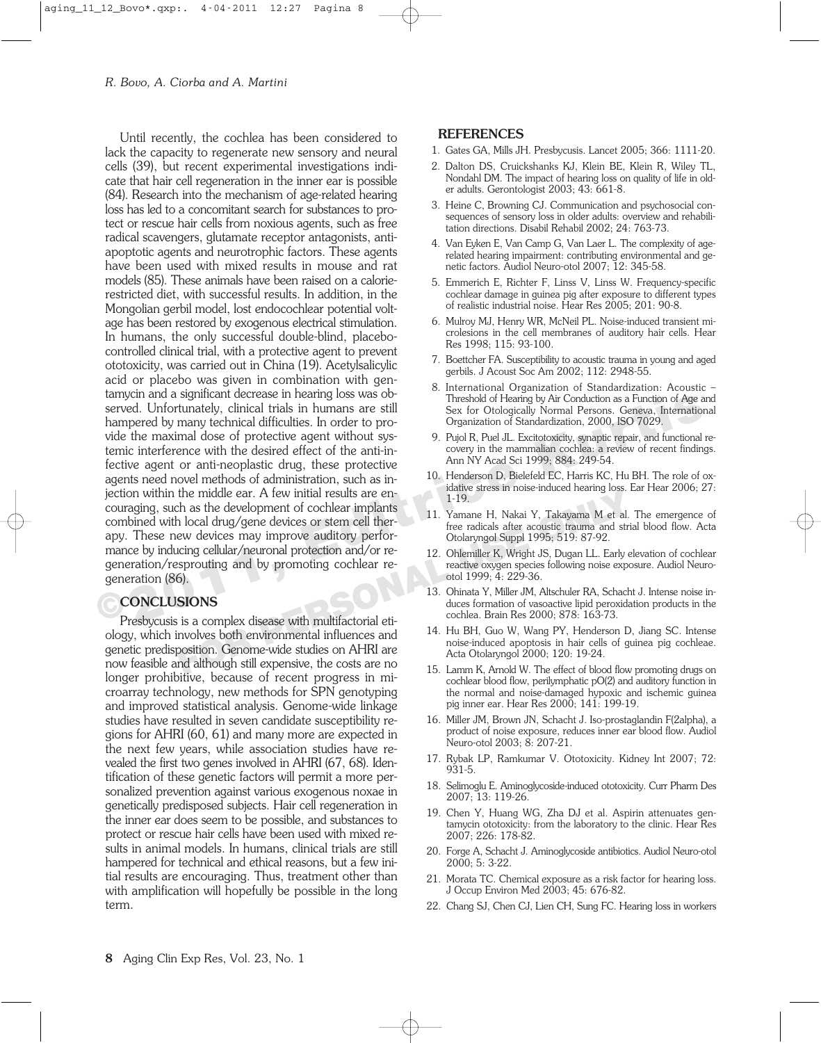Until recently, the cochlea has been considered to lack the capacity to regenerate new sensory and neural cells (39), but recent experimental investigations indicate that hair cell regeneration in the inner ear is possible (84). Research into the mechanism of age-related hearing loss has led to a concomitant search for substances to protect or rescue hair cells from noxious agents, such as free radical scavengers, glutamate receptor antagonists, antiapoptotic agents and neurotrophic factors. These agents have been used with mixed results in mouse and rat models (85). These animals have been raised on a calorierestricted diet, with successful results. In addition, in the Mongolian gerbil model, lost endocochlear potential voltage has been restored by exogenous electrical stimulation. In humans, the only successful double-blind, placebocontrolled clinical trial, with a protective agent to prevent ototoxicity, was carried out in China (19). Acetylsalicylic acid or placebo was given in combination with gentamycin and a significant decrease in hearing loss was observed. Unfortunately, clinical trials in humans are still hampered by many technical difficulties. In order to provide the maximal dose of protective agent without systemic interference with the desired effect of the anti-infective agent or anti-neoplastic drug, these protective agents need novel methods of administration, such as injection within the middle ear. A few initial results are encouraging, such as the development of cochlear implants combined with local drug/gene devices or stem cell therapy. These new devices may improve auditory performance by inducing cellular/neuronal protection and/or regeneration/resprouting and by promoting cochlear regeneration (86). Examplement and any intervention of Age and any intervention of Age and a served. Unfortunately, clinical trials in humans are still<br>
Sex for Otologically Normal Persons. Geneva, interaction<br>
Ampered by many technical diff The middle ear. A tew initial results are en-<br>
In local drug/gene devices or stem cell ther-<br>
For a local drug/gene devices or stem cell ther-<br>
For a local star acoustic trauma and strict endical star acoustic trauma and s

# **CONCLUSIONS**

Presbycusis is a complex disease with multifactorial etiology, which involves both environmental influences and genetic predisposition. Genome-wide studies on AHRI are now feasible and although still expensive, the costs are no longer prohibitive, because of recent progress in microarray technology, new methods for SPN genotyping and improved statistical analysis. Genome-wide linkage studies have resulted in seven candidate susceptibility regions for AHRI (60, 61) and many more are expected in the next few years, while association studies have revealed the first two genes involved in AHRI (67, 68). Identification of these genetic factors will permit a more personalized prevention against various exogenous noxae in genetically predisposed subjects. Hair cell regeneration in the inner ear does seem to be possible, and substances to protect or rescue hair cells have been used with mixed results in animal models. In humans, clinical trials are still hampered for technical and ethical reasons, but a few initial results are encouraging. Thus, treatment other than with amplification will hopefully be possible in the long term.

#### **REFERENCES**

- 1. Gates GA, Mills JH. Presbycusis. Lancet 2005; 366: 1111-20.
- 2. Dalton DS, Cruickshanks KJ, Klein BE, Klein R, Wiley TL, Nondahl DM. The impact of hearing loss on quality of life in older adults. Gerontologist 2003; 43: 661-8.
- 3. Heine C, Browning CJ. Communication and psychosocial consequences of sensory loss in older adults: overview and rehabilitation directions. Disabil Rehabil 2002; 24: 763-73.
- 4. Van Eyken E, Van Camp G, Van Laer L. The complexity of agerelated hearing impairment: contributing environmental and genetic factors. Audiol Neuro-otol 2007; 12: 345-58.
- 5. Emmerich E, Richter F, Linss V, Linss W. Frequency-specific cochlear damage in guinea pig after exposure to different types of realistic industrial noise. Hear Res 2005; 201: 90-8.
- 6. Mulroy MJ, Henry WR, McNeil PL. Noise-induced transient microlesions in the cell membranes of auditory hair cells. Hear Res 1998; 115: 93-100.
- 7. Boettcher FA. Susceptibility to acoustic trauma in young and aged gerbils. J Acoust Soc Am 2002; 112: 2948-55.
- 8. International Organization of Standardization: Acoustic Threshold of Hearing by Air Conduction as a Function of Age and Sex for Otologically Normal Persons. Geneva, International Organization of Standardization, 2000, ISO 7029.
- 9. Pujol R, Puel JL. Excitotoxicity, synaptic repair, and functional recovery in the mammalian cochlea: a review of recent findings. Ann NY Acad Sci 1999; 884: 249-54.
- 10. Henderson D, Bielefeld EC, Harris KC, Hu BH. The role of oxidative stress in noise-induced hearing loss. Ear Hear 2006; 27: 1-19.
- 11. Yamane H, Nakai Y, Takayama M et al. The emergence of free radicals after acoustic trauma and strial blood flow. Acta Otolaryngol Suppl 1995; 519: 87-92.
- 12. Ohlemiller K, Wright JS, Dugan LL. Early elevation of cochlear reactive oxygen species following noise exposure. Audiol Neurootol 1999; 4: 229-36.
- 13. Ohinata Y, Miller JM, Altschuler RA, Schacht J. Intense noise induces formation of vasoactive lipid peroxidation products in the cochlea. Brain Res 2000; 878: 163-73.
- 14. Hu BH, Guo W, Wang PY, Henderson D, Jiang SC. Intense noise-induced apoptosis in hair cells of guinea pig cochleae. Acta Otolaryngol 2000; 120: 19-24.
- 15. Lamm K, Arnold W. The effect of blood flow promoting drugs on cochlear blood flow, perilymphatic pO(2) and auditory function in the normal and noise-damaged hypoxic and ischemic guinea pig inner ear. Hear Res 2000; 141: 199-19.
- 16. Miller JM, Brown JN, Schacht J. Iso-prostaglandin F(2alpha), a product of noise exposure, reduces inner ear blood flow. Audiol Neuro-otol 2003; 8: 207-21.
- 17. Rybak LP, Ramkumar V. Ototoxicity. Kidney Int 2007; 72: 931-5.
- 18. Selimoglu E. Aminoglycoside-induced ototoxicity. Curr Pharm Des 2007; 13: 119-26.
- 19. Chen Y, Huang WG, Zha DJ et al. Aspirin attenuates gentamycin ototoxicity: from the laboratory to the clinic. Hear Res 2007; 226: 178-82.
- 20. Forge A, Schacht J. Aminoglycoside antibiotics. Audiol Neuro-otol 2000; 5: 3-22.
- 21. Morata TC. Chemical exposure as a risk factor for hearing loss. J Occup Environ Med 2003; 45: 676-82.
- 22. Chang SJ, Chen CJ, Lien CH, Sung FC. Hearing loss in workers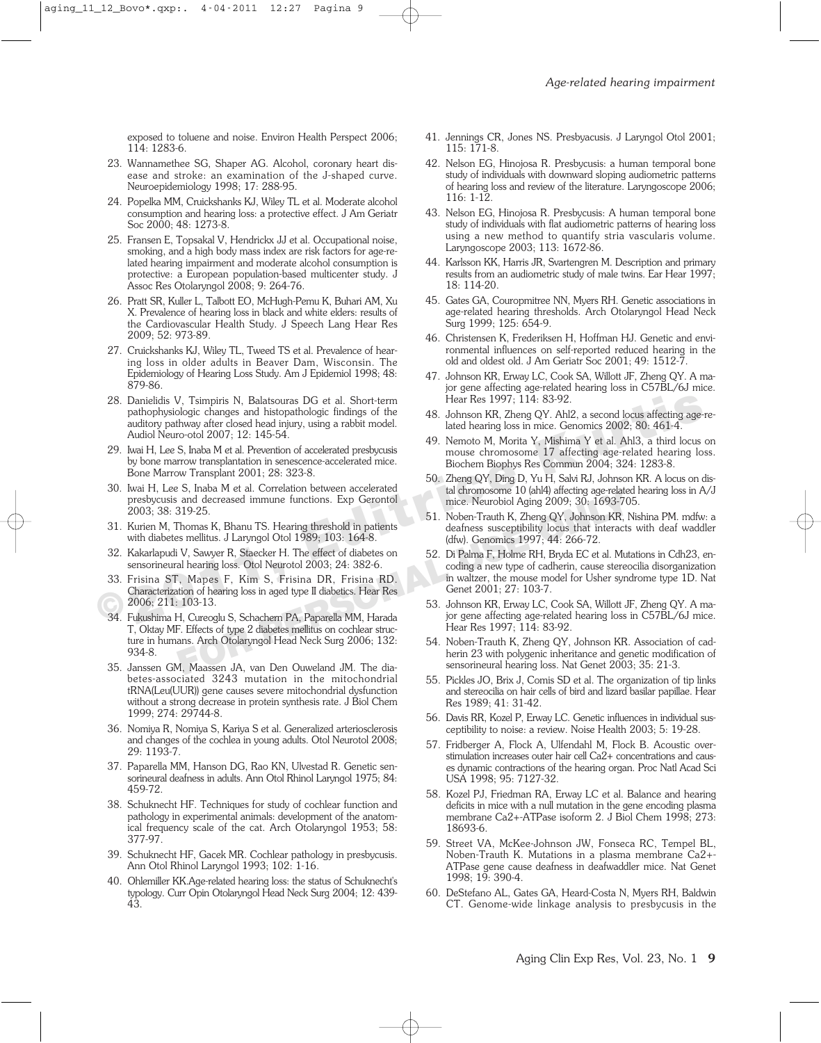exposed to toluene and noise. Environ Health Perspect 2006; 114: 1283-6.

- 23. Wannamethee SG, Shaper AG. Alcohol, coronary heart disease and stroke: an examination of the J-shaped curve. Neuroepidemiology 1998; 17: 288-95.
- 24. Popelka MM, Cruickshanks KJ, Wiley TL et al. Moderate alcohol consumption and hearing loss: a protective effect. J Am Geriatr Soc 2000; 48: 1273-8.
- 25. Fransen E, Topsakal V, Hendrickx JJ et al. Occupational noise, smoking, and a high body mass index are risk factors for age-related hearing impairment and moderate alcohol consumption is protective: a European population-based multicenter study. J Assoc Res Otolaryngol 2008; 9: 264-76.
- 26. Pratt SR, Kuller L, Talbott EO, McHugh-Pemu K, Buhari AM, Xu X. Prevalence of hearing loss in black and white elders: results of the Cardiovascular Health Study. J Speech Lang Hear Res 2009; 52: 973-89.
- 27. Cruickshanks KJ, Wiley TL, Tweed TS et al. Prevalence of hearing loss in older adults in Beaver Dam, Wisconsin. The Epidemiology of Hearing Loss Study. Am J Epidemiol 1998; 48: 879-86.
- 28. Danielidis V, Tsimpiris N, Balatsouras DG et al. Short-term pathophysiologic changes and histopathologic findings of the auditory pathway after closed head injury, using a rabbit model. Audiol Neuro-otol 2007; 12: 145-54. 28. Danielidis V, Tsimpiris N, Balatsouras DG et al. Short-term<br>
28. Danielohysiologic changes and histophathologic findings of the<br>
28. Johnson KR, Zheng QY, Ahl2, a second locus affecting age-<br>
29. Luaid, Neuro-tol 2007;
	- 29. Iwai H, Lee S, Inaba M et al. Prevention of accelerated presbycusis by bone marrow transplantation in senescence-accelerated mice. Bone Marrow Transplant 2001; 28: 323-8.
	- 30. Iwai H, Lee S, Inaba M et al. Correlation between accelerated presbycusis and decreased immune functions. Exp Gerontol 2003; 38: 319-25.
	- 31. Kurien M, Thomas K, Bhanu TS. Hearing threshold in patients with diabetes mellitus. J Laryngol Otol 1989; 103: 164-8.
	- 32. Kakarlapudi V, Sawyer R, Staecker H. The effect of diabetes on sensorineural hearing loss. Otol Neurotol 2003; 24: 382-6.
	- 33. Frisina ST, Mapes F, Kim S, Frisina DR, Frisina RD. Characterization of hearing loss in aged type II diabetics. Hear Res 2006; 211: 103-13.
	- 34. Fukushima H, Cureoglu S, Schachern PA, Paparella MM, Harada T, Oktay MF. Effects of type 2 diabetes mellitus on cochlear structure in humans. Arch Otolaryngol Head Neck Surg 2006; 132: 934-8. **Example 11 Solution of Native Control of the contract of the control of the section of the section of the section of Daya 1001 (1989; 103: 164-8.<br>
	<b>For PERSONALLY STARBUM CONTABBLEM** (dfw). Genomics 1997; 44: 266-72.<br> **Fo**
	- 35. Janssen GM, Maassen JA, van Den Ouweland JM. The diabetes-associated 3243 mutation in the mitochondrial tRNA(Leu(UUR)) gene causes severe mitochondrial dysfunction without a strong decrease in protein synthesis rate. J Biol Chem 1999; 274: 29744-8.
	- 36. Nomiya R, Nomiya S, Kariya S et al. Generalized arteriosclerosis and changes of the cochlea in young adults. Otol Neurotol 2008; 29: 1193-7.
	- 37. Paparella MM, Hanson DG, Rao KN, Ulvestad R. Genetic sensorineural deafness in adults. Ann Otol Rhinol Laryngol 1975; 84: 459-72.
	- 38. Schuknecht HF. Techniques for study of cochlear function and pathology in experimental animals: development of the anatomical frequency scale of the cat. Arch Otolaryngol 1953; 58: 377-97.
	- 39. Schuknecht HF, Gacek MR. Cochlear pathology in presbycusis. Ann Otol Rhinol Laryngol 1993; 102: 1-16.
	- 40. Ohlemiller KK.Age-related hearing loss: the status of Schuknecht's typology. Curr Opin Otolaryngol Head Neck Surg 2004; 12: 439- 43.
- 41. Jennings CR, Jones NS. Presbyacusis. J Laryngol Otol 2001; 115: 171-8.
- 42. Nelson EG, Hinojosa R. Presbycusis: a human temporal bone study of individuals with downward sloping audiometric patterns of hearing loss and review of the literature. Laryngoscope 2006; 116: 1-12.
- 43. Nelson EG, Hinojosa R. Presbycusis: A human temporal bone study of individuals with flat audiometric patterns of hearing loss using a new method to quantify stria vascularis volume. Laryngoscope 2003; 113: 1672-86.
- 44. Karlsson KK, Harris JR, Svartengren M. Description and primary results from an audiometric study of male twins. Ear Hear 1997; 18: 114-20.
- 45. Gates GA, Couropmitree NN, Myers RH. Genetic associations in age-related hearing thresholds. Arch Otolaryngol Head Neck Surg 1999; 125: 654-9.
- 46. Christensen K, Frederiksen H, Hoffman HJ. Genetic and environmental influences on self-reported reduced hearing in the old and oldest old. J Am Geriatr Soc 2001; 49: 1512-7.
- 47. Johnson KR, Erway LC, Cook SA, Willott JF, Zheng QY. A major gene affecting age-related hearing loss in C57BL/6J mice. Hear Res 1997; 114: 83-92.
- 48. Johnson KR, Zheng QY. Ahl2, a second locus affecting age-related hearing loss in mice. Genomics 2002; 80: 461-4.
- 49. Nemoto M, Morita Y, Mishima Y et al. Ahl3, a third locus on mouse chromosome 17 affecting age-related hearing loss. Biochem Biophys Res Commun 2004; 324: 1283-8.
- 50. Zheng QY, Ding D, Yu H, Salvi RJ, Johnson KR. A locus on distal chromosome 10 (ahl4) affecting age-related hearing loss in A/J mice. Neurobiol Aging 2009; 30: 1693-705.
- 51. Noben-Trauth K, Zheng QY, Johnson KR, Nishina PM. mdfw: a deafness susceptibility locus that interacts with deaf waddler (dfw). Genomics 1997; 44: 266-72.
- 52. Di Palma F, Holme RH, Bryda EC et al. Mutations in Cdh23, encoding a new type of cadherin, cause stereocilia disorganization in waltzer, the mouse model for Usher syndrome type 1D. Nat Genet 2001; 27: 103-7.
- 53. Johnson KR, Erway LC, Cook SA, Willott JF, Zheng QY. A major gene affecting age-related hearing loss in C57BL/6J mice. Hear Res 1997; 114: 83-92.
- 54. Noben-Trauth K, Zheng QY, Johnson KR. Association of cadherin 23 with polygenic inheritance and genetic modification of sensorineural hearing loss. Nat Genet 2003; 35: 21-3.
- 55. Pickles JO, Brix J, Comis SD et al. The organization of tip links and stereocilia on hair cells of bird and lizard basilar papillae. Hear Res 1989; 41: 31-42.
- 56. Davis RR, Kozel P, Erway LC. Genetic influences in individual susceptibility to noise: a review. Noise Health 2003; 5: 19-28.
- 57. Fridberger A, Flock A, Ulfendahl M, Flock B. Acoustic overstimulation increases outer hair cell Ca2+ concentrations and causes dynamic contractions of the hearing organ. Proc Natl Acad Sci USA 1998; 95: 7127-32.
- 58. Kozel PJ, Friedman RA, Erway LC et al. Balance and hearing deficits in mice with a null mutation in the gene encoding plasma membrane Ca2+-ATPase isoform 2. J Biol Chem 1998; 273: 18693-6.
- 59. Street VA, McKee-Johnson JW, Fonseca RC, Tempel BL, Noben-Trauth K. Mutations in a plasma membrane Ca2+- ATPase gene cause deafness in deafwaddler mice. Nat Genet 1998; 19: 390-4.
- 60. DeStefano AL, Gates GA, Heard-Costa N, Myers RH, Baldwin CT. Genome-wide linkage analysis to presbycusis in the